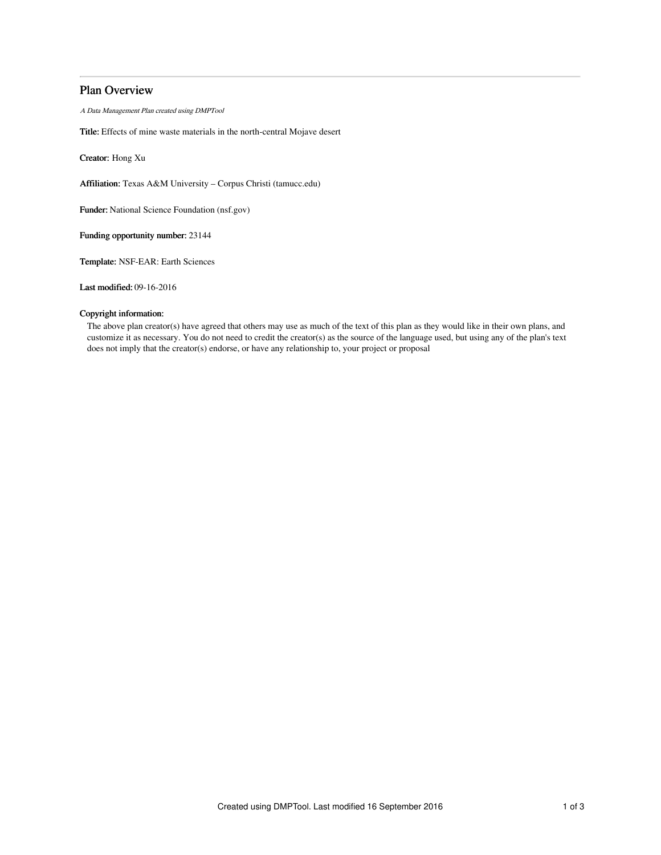# Plan Overview

A Data Management Plan created using DMPTool

Title: Effects of mine waste materials in the north-central Mojave desert

Creator: Hong Xu

Affiliation: Texas A&M University – Corpus Christi (tamucc.edu)

Funder: National Science Foundation (nsf.gov)

Funding opportunity number: 23144

Template: NSF-EAR: Earth Sciences

Last modified: 09-16-2016

## Copyright information:

The above plan creator(s) have agreed that others may use as much of the text of this plan as they would like in their own plans, and customize it as necessary. You do not need to credit the creator(s) as the source of the language used, but using any of the plan's text does not imply that the creator(s) endorse, or have any relationship to, your project or proposal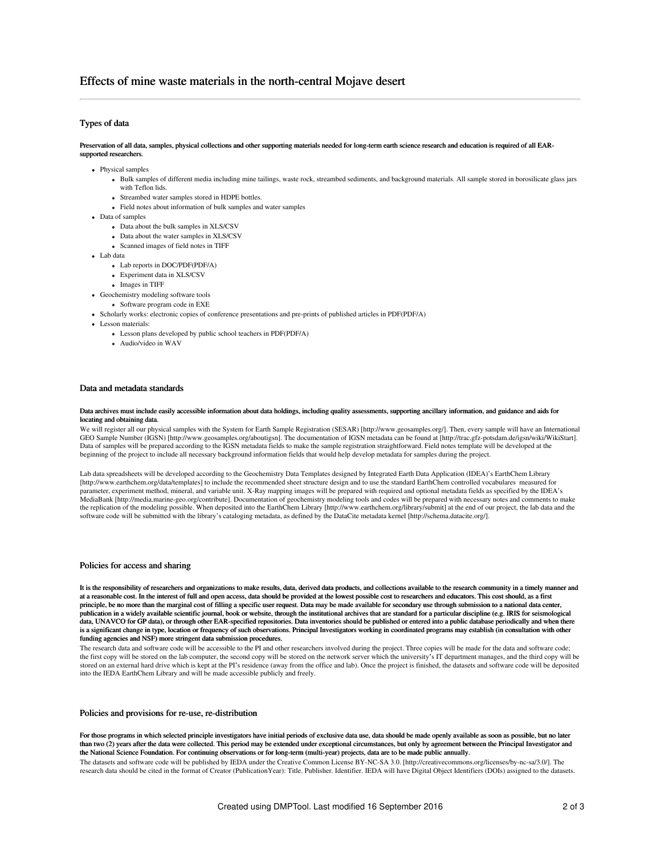## Types of data

#### Preservation of all data, samples, physical collections and other supporting materials needed for long-term earth science research and education is required of all EARsupported researchers.

- Physical samples
	- Bulk samples of different media including mine tailings, waste rock, streambed sediments, and background materials. All sample stored in borosilicate glass jars with Teflon lids.
	- Streambed water samples stored in HDPE bottles.
	- Field notes about information of bulk samples and water samples
- Data of samples
	- Data about the bulk samples in XLS/CSV
	- Data about the water samples in XLS/CSV
	- Scanned images of field notes in TIFF
- Lab data
	- Lab reports in DOC/PDF(PDF/A)
	- Experiment data in XLS/CSV
	- Images in TIFF
- Geochemistry modeling software tools
	- Software program code in EXE
- Scholarly works: electronic copies of conference presentations and pre-prints of published articles in PDF(PDF/A)
- Lesson materials:
	- Lesson plans developed by public school teachers in PDF(PDF/A)
	- Audio/video in WAV

### Data and metadata standards

#### Data archives must include easily accessible information about data holdings, including quality assessments, supporting ancillary information, and guidance and aids for locating and obtaining data.

We will register all our physical samples with the System for Earth Sample Registration (SESAR) [http://www.geosamples.org/]. Then, every sample will have an International GEO Sample Number (IGSN) [http://www.geosamples.org/aboutigsn]. The documentation of IGSN metadata can be found at [http://trac.gfz-potsdam.de/igsn/wiki/WikiStart]. Data of samples will be prepared according to the IGSN metadata fields to make the sample registration straightforward. Field notes template will be developed at the beginning of the project to include all necessary background information fields that would help develop metadata for samples during the project.

Lab data spreadsheets will be developed according to the Geochemistry Data Templates designed by Integrated Earth Data Application (IDEA)'s EarthChem Library [http://www.earthchem.org/data/templates] to include the recommended sheet structure design and to use the standard EarthChem controlled vocabulares measured for parameter, experiment method, mineral, and variable unit. X-Ray mapping images will be prepared with required and optional metadata fields as specified by the IDEA's MediaBank [http://media.marine-geo.org/contribute]. Documentation of geochemistry modeling tools and codes will be prepared with necessary notes and comments to make the replication of the modeling possible. When deposited into the EarthChem Library [http://www.earthchem.org/library/submit] at the end of our project, the lab data and the software code will be submitted with the library's cataloging metadata, as defined by the DataCite metadata kernel [http://schema.datacite.org/].

### Policies for access and sharing

It is the responsibility of researchers and organizations to make results, data, derived data products, and collections available to the research community in a timely manner and at a reasonable cost. In the interest of full and open access, data should be provided at the lowest possible cost to researchers and educators. This cost should, as a first principle, be no more than the marginal cost of filling a specific user request. Data may be made available for secondary use through submission to a national data center, publication in a widely available scientific journal, book or website, through the institutional archives that are standard for a particular discipline (e.g. IRIS for seismological data, UNAVCO for GP data), or through other EAR-specified repositories. Data inventories should be published or entered into a public database periodically and when there is a significant change in type, location or frequency of such observations. Principal Investigators working in coordinated programs may establish (in consultation with other funding agencies and NSF) more stringent data submission procedures.

The research data and software code will be accessible to the PI and other researchers involved during the project. Three copies will be made for the data and software code; the first copy will be stored on the lab computer, the second copy will be stored on the network server which the university's IT department manages, and the third copy will be deposited<br>stored on an external hard drive wh into the IEDA EarthChem Library and will be made accessible publicly and freely.

### Policies and provisions for re-use, re-distribution

For those programs in which selected principle investigators have initial periods of exclusive data use, data should be made openly available as soon as possible, but no later than two (2) years after the data were collected. This period may be extended under exceptional circumstances, but only by agreement between the Principal Investigator and the National Science Foundation. For continuing observations or for long-term (multi-year) projects, data are to be made public annually.

The datasets and software code will be published by IEDA under the Creative Common License BY-NC-SA 3.0. [http://creativecommons.org/licenses/by-nc-sa/3.0/]. The research data should be cited in the format of Creator (PublicationYear): Title. Publisher. Identifier. IEDA will have Digital Object Identifiers (DOIs) assigned to the datasets.